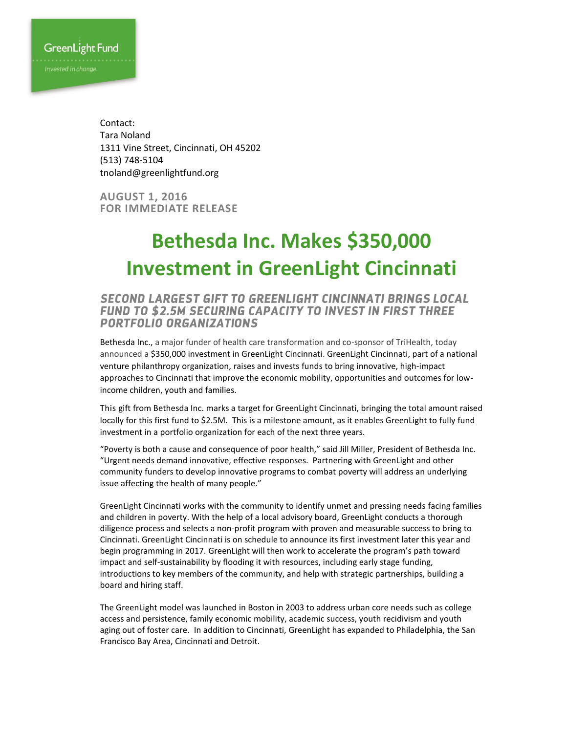Contact: Tara Noland 1311 Vine Street, Cincinnati, OH 45202 (513) 748-5104 tnoland@greenlightfund.org

**AUGUST 1, 2016 FOR IMMEDIATE RELEASE**

## **Bethesda Inc. Makes \$350,000 Investment in GreenLight Cincinnati**

## SECOND LARGEST GIFT TO GREENLIGHT CINCINNATI BRINGS LOCAL FUND TO \$2.5M SECURING CAPACITY TO INVEST IN FIRST THREE **PORTFOLIO ORGANIZATIONS**

Bethesda Inc., a major funder of health care transformation and co-sponsor of TriHealth, today announced a \$350,000 investment in GreenLight Cincinnati. GreenLight Cincinnati, part of a national venture philanthropy organization, raises and invests funds to bring innovative, high-impact approaches to Cincinnati that improve the economic mobility, opportunities and outcomes for lowincome children, youth and families.

This gift from Bethesda Inc. marks a target for GreenLight Cincinnati, bringing the total amount raised locally for this first fund to \$2.5M. This is a milestone amount, as it enables GreenLight to fully fund investment in a portfolio organization for each of the next three years.

"Poverty is both a cause and consequence of poor health," said Jill Miller, President of Bethesda Inc. "Urgent needs demand innovative, effective responses. Partnering with GreenLight and other community funders to develop innovative programs to combat poverty will address an underlying issue affecting the health of many people."

GreenLight Cincinnati works with the community to identify unmet and pressing needs facing families and children in poverty. With the help of a local advisory board, GreenLight conducts a thorough diligence process and selects a non-profit program with proven and measurable success to bring to Cincinnati. GreenLight Cincinnati is on schedule to announce its first investment later this year and begin programming in 2017. GreenLight will then work to accelerate the program's path toward impact and self-sustainability by flooding it with resources, including early stage funding, introductions to key members of the community, and help with strategic partnerships, building a board and hiring staff.

The GreenLight model was launched in Boston in 2003 to address urban core needs such as college access and persistence, family economic mobility, academic success, youth recidivism and youth aging out of foster care. In addition to Cincinnati, GreenLight has expanded to Philadelphia, the San Francisco Bay Area, Cincinnati and Detroit.